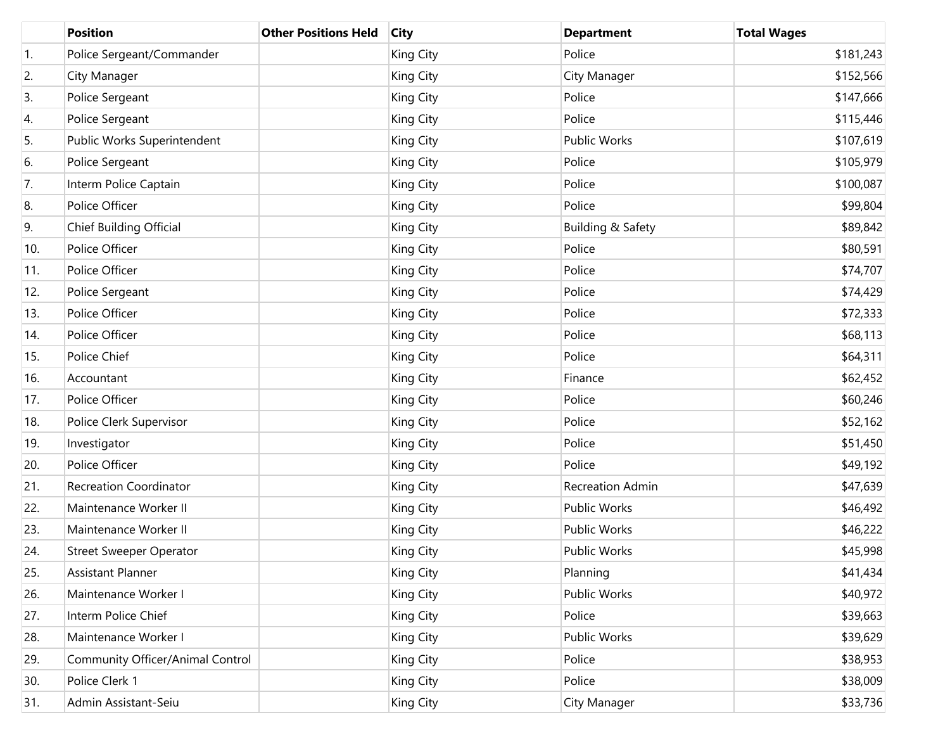|                  | <b>Position</b>                  | <b>Other Positions Held</b> | <b>City</b> | <b>Department</b>   | <b>Total Wages</b> |
|------------------|----------------------------------|-----------------------------|-------------|---------------------|--------------------|
| $\overline{1}$ . | Police Sergeant/Commander        |                             | King City   | Police              | \$181,243          |
| 2.               | City Manager                     |                             | King City   | City Manager        | \$152,566          |
| 3.               | Police Sergeant                  |                             | King City   | Police              | \$147,666          |
| 4.               | Police Sergeant                  |                             | King City   | Police              | \$115,446          |
| 5.               | Public Works Superintendent      |                             | King City   | <b>Public Works</b> | \$107,619          |
| 6.               | Police Sergeant                  |                             | King City   | Police              | \$105,979          |
| 7.               | Interm Police Captain            |                             | King City   | Police              | \$100,087          |
| 8.               | Police Officer                   |                             | King City   | Police              | \$99,804           |
| 9.               | Chief Building Official          |                             | King City   | Building & Safety   | \$89,842           |
| 10.              | Police Officer                   |                             | King City   | Police              | \$80,591           |
| 11.              | Police Officer                   |                             | King City   | Police              | \$74,707           |
| 12.              | Police Sergeant                  |                             | King City   | Police              | \$74,429           |
| 13.              | Police Officer                   |                             | King City   | Police              | \$72,333           |
| 14.              | Police Officer                   |                             | King City   | Police              | \$68,113           |
| 15.              | Police Chief                     |                             | King City   | Police              | \$64,311           |
| 16.              | Accountant                       |                             | King City   | Finance             | \$62,452           |
| 17.              | Police Officer                   |                             | King City   | Police              | \$60,246           |
| 18.              | Police Clerk Supervisor          |                             | King City   | Police              | \$52,162           |
| 19.              | Investigator                     |                             | King City   | Police              | \$51,450           |
| 20.              | Police Officer                   |                             | King City   | Police              | \$49,192           |
| 21.              | <b>Recreation Coordinator</b>    |                             | King City   | Recreation Admin    | \$47,639           |
| 22.              | Maintenance Worker II            |                             | King City   | <b>Public Works</b> | \$46,492           |
| 23.              | Maintenance Worker II            |                             | King City   | Public Works        | \$46,222           |
| 24.              | <b>Street Sweeper Operator</b>   |                             | King City   | <b>Public Works</b> | \$45,998           |
| 25.              | Assistant Planner                |                             | King City   | Planning            | \$41,434           |
| 26.              | Maintenance Worker I             |                             | King City   | Public Works        | \$40,972           |
| 27.              | Interm Police Chief              |                             | King City   | Police              | \$39,663           |
| 28.              | Maintenance Worker I             |                             | King City   | Public Works        | \$39,629           |
| 29.              | Community Officer/Animal Control |                             | King City   | Police              | \$38,953           |
| 30.              | Police Clerk 1                   |                             | King City   | Police              | \$38,009           |
| 31.              | Admin Assistant-Seiu             |                             | King City   | City Manager        | \$33,736           |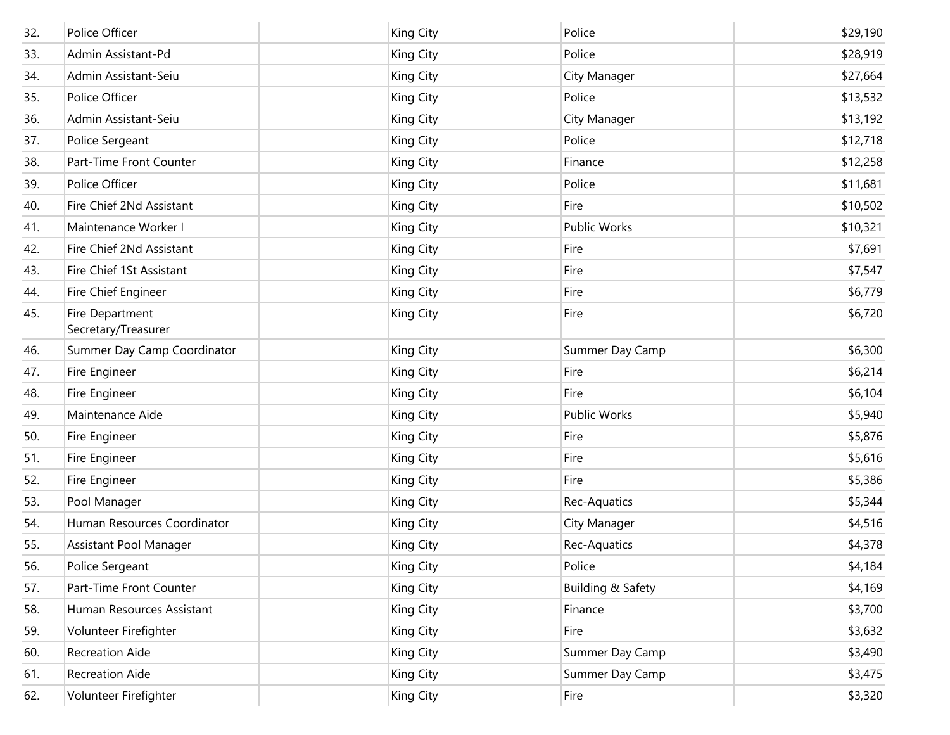| 32. | Police Officer                         | King City | Police            | \$29,190 |
|-----|----------------------------------------|-----------|-------------------|----------|
| 33. | Admin Assistant-Pd                     | King City | Police            | \$28,919 |
| 34. | Admin Assistant-Seiu                   | King City | City Manager      | \$27,664 |
| 35. | Police Officer                         | King City | Police            | \$13,532 |
| 36. | Admin Assistant-Seiu                   | King City | City Manager      | \$13,192 |
| 37. | Police Sergeant                        | King City | Police            | \$12,718 |
| 38. | Part-Time Front Counter                | King City | Finance           | \$12,258 |
| 39. | Police Officer                         | King City | Police            | \$11,681 |
| 40. | Fire Chief 2Nd Assistant               | King City | Fire              | \$10,502 |
| 41. | Maintenance Worker I                   | King City | Public Works      | \$10,321 |
| 42. | Fire Chief 2Nd Assistant               | King City | Fire              | \$7,691  |
| 43. | Fire Chief 1St Assistant               | King City | Fire              | \$7,547  |
| 44. | Fire Chief Engineer                    | King City | Fire              | \$6,779  |
| 45. | Fire Department<br>Secretary/Treasurer | King City | Fire              | \$6,720  |
| 46. | Summer Day Camp Coordinator            | King City | Summer Day Camp   | \$6,300  |
| 47. | Fire Engineer                          | King City | Fire              | \$6,214  |
| 48. | Fire Engineer                          | King City | Fire              | \$6,104  |
| 49. | Maintenance Aide                       | King City | Public Works      | \$5,940  |
| 50. | Fire Engineer                          | King City | Fire              | \$5,876  |
| 51. | Fire Engineer                          | King City | Fire              | \$5,616  |
| 52. | Fire Engineer                          | King City | Fire              | \$5,386  |
| 53. | Pool Manager                           | King City | Rec-Aquatics      | \$5,344  |
| 54. | Human Resources Coordinator            | King City | City Manager      | \$4,516  |
| 55. | Assistant Pool Manager                 | King City | Rec-Aquatics      | \$4,378  |
| 56. | Police Sergeant                        | King City | Police            | \$4,184  |
| 57. | Part-Time Front Counter                | King City | Building & Safety | \$4,169  |
| 58. | Human Resources Assistant              | King City | Finance           | \$3,700  |
| 59. | Volunteer Firefighter                  | King City | Fire              | \$3,632  |
| 60. | <b>Recreation Aide</b>                 | King City | Summer Day Camp   | \$3,490  |
| 61. | <b>Recreation Aide</b>                 | King City | Summer Day Camp   | \$3,475  |
| 62. | Volunteer Firefighter                  | King City | Fire              | \$3,320  |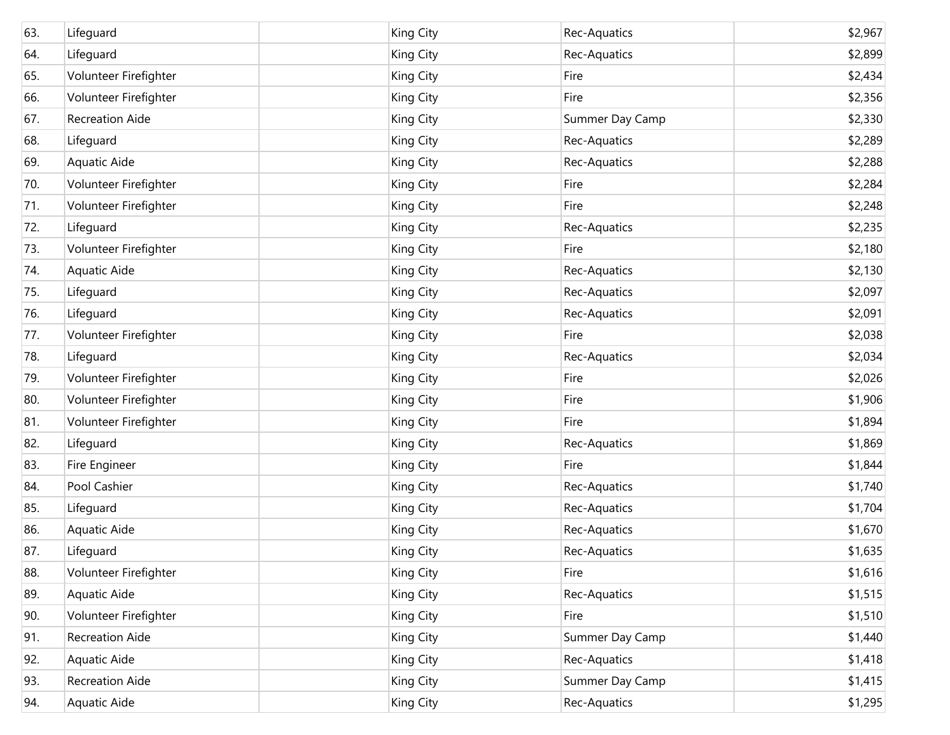| 63. | Lifeguard              | King City | Rec-Aquatics    | \$2,967 |
|-----|------------------------|-----------|-----------------|---------|
| 64. | Lifeguard              | King City | Rec-Aquatics    | \$2,899 |
| 65. | Volunteer Firefighter  | King City | Fire            | \$2,434 |
| 66. | Volunteer Firefighter  | King City | Fire            | \$2,356 |
| 67. | <b>Recreation Aide</b> | King City | Summer Day Camp | \$2,330 |
| 68. | Lifeguard              | King City | Rec-Aquatics    | \$2,289 |
| 69. | Aquatic Aide           | King City | Rec-Aquatics    | \$2,288 |
| 70. | Volunteer Firefighter  | King City | Fire            | \$2,284 |
| 71. | Volunteer Firefighter  | King City | Fire            | \$2,248 |
| 72. | Lifeguard              | King City | Rec-Aquatics    | \$2,235 |
| 73. | Volunteer Firefighter  | King City | Fire            | \$2,180 |
| 74. | Aquatic Aide           | King City | Rec-Aquatics    | \$2,130 |
| 75. | Lifeguard              | King City | Rec-Aquatics    | \$2,097 |
| 76. | Lifeguard              | King City | Rec-Aquatics    | \$2,091 |
| 77. | Volunteer Firefighter  | King City | Fire            | \$2,038 |
| 78. | Lifeguard              | King City | Rec-Aquatics    | \$2,034 |
| 79. | Volunteer Firefighter  | King City | Fire            | \$2,026 |
| 80. | Volunteer Firefighter  | King City | Fire            | \$1,906 |
| 81. | Volunteer Firefighter  | King City | Fire            | \$1,894 |
| 82. | Lifeguard              | King City | Rec-Aquatics    | \$1,869 |
| 83. | Fire Engineer          | King City | Fire            | \$1,844 |
| 84. | Pool Cashier           | King City | Rec-Aquatics    | \$1,740 |
| 85. | Lifeguard              | King City | Rec-Aquatics    | \$1,704 |
| 86. | Aquatic Aide           | King City | Rec-Aquatics    | \$1,670 |
| 87. | Lifeguard              | King City | Rec-Aquatics    | \$1,635 |
| 88. | Volunteer Firefighter  | King City | Fire            | \$1,616 |
| 89. | Aquatic Aide           | King City | Rec-Aquatics    | \$1,515 |
| 90. | Volunteer Firefighter  | King City | Fire            | \$1,510 |
| 91. | <b>Recreation Aide</b> | King City | Summer Day Camp | \$1,440 |
| 92. | Aquatic Aide           | King City | Rec-Aquatics    | \$1,418 |
| 93. | <b>Recreation Aide</b> | King City | Summer Day Camp | \$1,415 |
| 94. | Aquatic Aide           | King City | Rec-Aquatics    | \$1,295 |